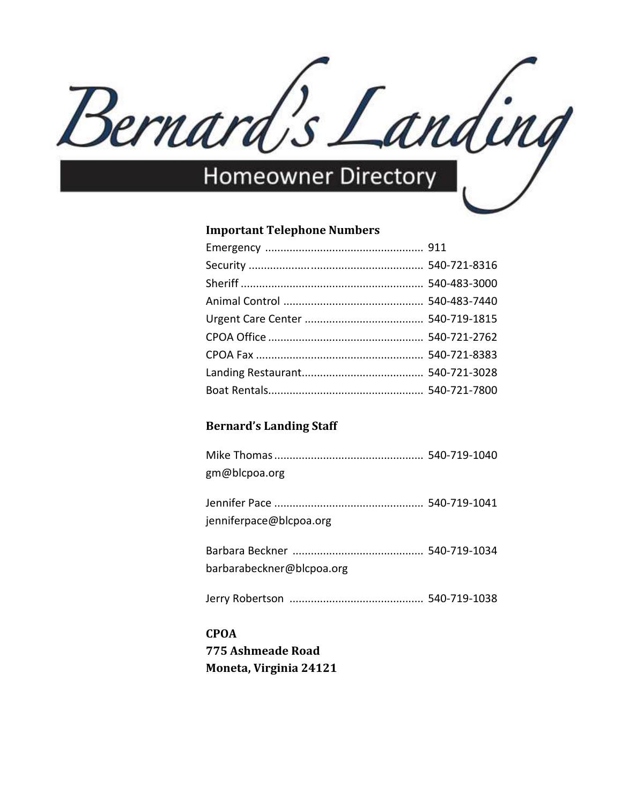

## **Important Telephone Numbers**

## **Bernard's Landing Staff**

| gm@blcpoa.org             |  |
|---------------------------|--|
| jenniferpace@blcpoa.org   |  |
| barbarabeckner@blcpoa.org |  |
|                           |  |

# **CPOA 775 Ashmeade Road Moneta, Virginia 24121**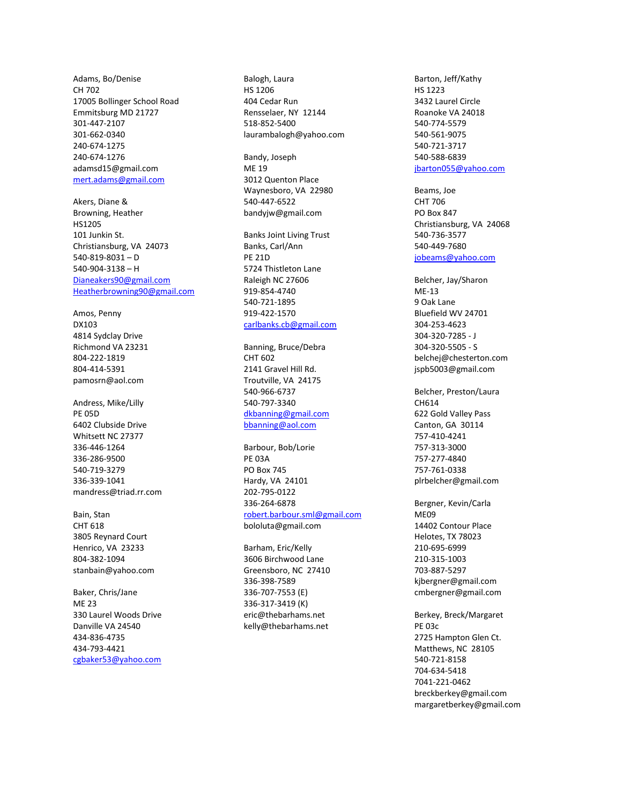Adams, Bo/Denise CH 702 17005 Bollinger School Road Emmitsburg MD 21727 301-447-2107 301-662-0340 240-674-1275 240-674-1276 adamsd15@gmail.com [mert.adams@gmail.com](mailto:mert.adams@gmail.com)

Akers, Diane & Browning, Heather HS1205 101 Junkin St. Christiansburg, VA 24073 540-819-8031 – D 540-904-3138 – H [Dianeakers90@gmail.com](mailto:Dianeakers90@gmail.com) [Heatherbrowning90@gmail.com](mailto:Heatherbrowning90@gmail.com)

Amos, Penny DX103 4814 Sydclay Drive Richmond VA 23231 804-222-1819 804-414-5391 pamosrn@aol.com

Andress, Mike/Lilly PE 05D 6402 Clubside Drive Whitsett NC 27377 336-446-1264 336-286-9500 540-719-3279 336-339-1041 mandress@triad.rr.com

Bain, Stan CHT 618 3805 Reynard Court Henrico, VA 23233 804-382-1094 stanbain@yahoo.com

Baker, Chris/Jane ME 23 330 Laurel Woods Drive Danville VA 24540 434-836-4735 434-793-4421 [cgbaker53@yahoo.com](mailto:cgbaker53@yahoo.com)

Balogh, Laura HS 1206 404 Cedar Run Rensselaer, NY 12144 518-852-5400 laurambalogh@yahoo.com

Bandy, Joseph ME 19 3012 Quenton Place Waynesboro, VA 22980 540-447-6522 bandyjw@gmail.com

Banks Joint Living Trust Banks, Carl/Ann PE 21D 5724 Thistleton Lane Raleigh NC 27606 919-854-4740 540-721-1895 919-422-1570 [carlbanks.cb@gmail.com](mailto:carlbanks.cb@gmail.com)

Banning, Bruce/Debra CHT 602 2141 Gravel Hill Rd. Troutville, VA 24175 540-966-6737 540-797-3340 [dkbanning@gmail.com](mailto:dkbanning@gmail.com) [bbanning@aol.com](mailto:bbanning@aol.com)

Barbour, Bob/Lorie PE 03A PO Box 745 Hardy, VA 24101 202-795-0122 336-264-6878 [robert.barbour.sml@gmail.com](mailto:bobbarbour1@gmail.com) bololuta@gmail.com

Barham, Eric/Kelly 3606 Birchwood Lane Greensboro, NC 27410 336-398-7589 336-707-7553 (E) 336-317-3419 (K) eric@thebarhams.net kelly@thebarhams.net

Barton, Jeff/Kathy HS 1223 3432 Laurel Circle Roanoke VA 24018 540-774-5579 540-561-9075 540-721-3717 540-588-6839 [jbarton055@yahoo.com](mailto:jbarton055@yahoo.com)

Beams, Joe CHT 706 PO Box 847 Christiansburg, VA 24068 540-736-3577 540-449-7680 [jobeams@yahoo.com](mailto:jobeams@yahoo.com)

Belcher, Jay/Sharon ME-13 9 Oak Lane Bluefield WV 24701 304-253-4623 304-320-7285 - J 304-320-5505 - S belchej@chesterton.com jspb5003@gmail.com

Belcher, Preston/Laura CH614 622 Gold Valley Pass Canton, GA 30114 757-410-4241 757-313-3000 757-277-4840 757-761-0338 plrbelcher@gmail.com

Bergner, Kevin/Carla ME09 14402 Contour Place Helotes, TX 78023 210-695-6999 210-315-1003 703-887-5297 kjbergner@gmail.com cmbergner@gmail.com

Berkey, Breck/Margaret PE 03c 2725 Hampton Glen Ct. Matthews, NC 28105 540-721-8158 704-634-5418 7041-221-0462 breckberkey@gmail.com margaretberkey@gmail.com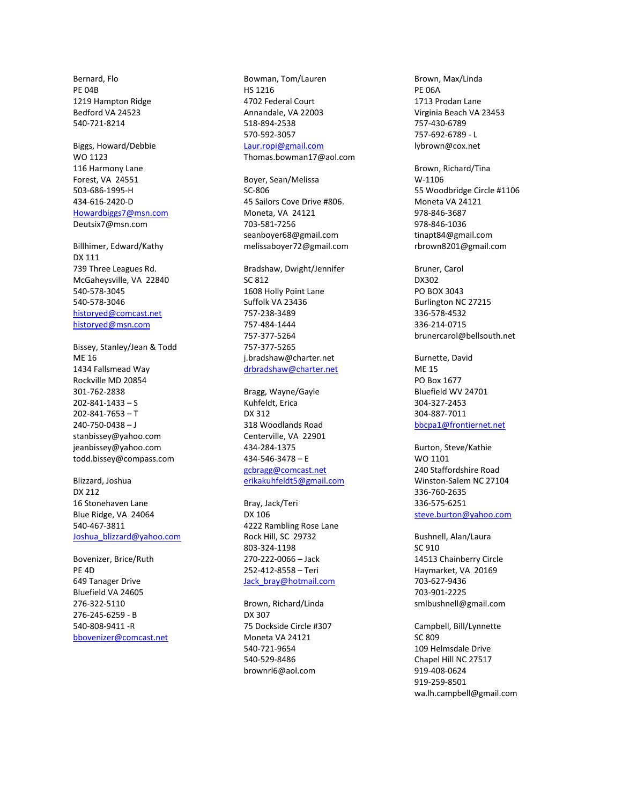Bernard, Flo PE 04B 1219 Hampton Ridge Bedford VA 24523 540-721-8214

Biggs, Howard/Debbie WO 1123 116 Harmony Lane Forest, VA 24551 503-686-1995-H 434-616-2420-D [Howardbiggs7@msn.com](mailto:Howardbiggs7@msn.com) Deutsix7@msn.com

Billhimer, Edward/Kathy DX 111 739 Three Leagues Rd. McGaheysville, VA 22840 540-578-3045 540-578-3046 [historyed@comcast.net](mailto:historyed@comcast.net) [historyed@msn.com](mailto:historyed@msn.com)

Bissey, Stanley/Jean & Todd ME 16 1434 Fallsmead Way Rockville MD 20854 301-762-2838 202-841-1433 – S 202-841-7653 – T 240-750-0438 – J stanbissey@yahoo.com jeanbissey@yahoo.com todd.bissey@compass.com

Blizzard, Joshua DX 212 16 Stonehaven Lane Blue Ridge, VA 24064 540-467-3811 Joshua blizzard@yahoo.com

Bovenizer, Brice/Ruth PE 4D 649 Tanager Drive Bluefield VA 24605 276-322-5110 276-245-6259 - B 540-808-9411 -R [bbovenizer@comcast.net](mailto:bbovenizer@comcast.net)

Bowman, Tom/Lauren HS 1216 4702 Federal Court Annandale, VA 22003 518-894-2538 570-592-3057 [Laur.ropi@gmail.com](mailto:Laur.ropi@gmail.com) Thomas.bowman17@aol.com

Boyer, Sean/Melissa SC-806 45 Sailors Cove Drive #806. Moneta, VA 24121 703-581-7256 seanboyer68@gmail.com melissaboyer72@gmail.com

Bradshaw, Dwight/Jennifer SC 812 1608 Holly Point Lane Suffolk VA 23436 757-238-3489 757-484-1444 757-377-5264 757-377-5265 j.bradshaw@charter.net [drbradshaw@charter.net](mailto:drbradshaw@charter.net)

Bragg, Wayne/Gayle Kuhfeldt, Erica DX 312 318 Woodlands Road Centerville, VA 22901 434-284-1375 434-546-3478 – E [gcbragg@comcast.net](mailto:gcbragg@comcast.net) [erikakuhfeldt5@gmail.com](mailto:erikakuhfeldt5@gmail.com)

Bray, Jack/Teri DX 106 4222 Rambling Rose Lane Rock Hill, SC 29732 803-324-1198 270-222-0066 – Jack 252-412-8558 – Teri [Jack\\_bray@hotmail.com](mailto:Jack_bray@hotmail.com)

Brown, Richard/Linda DX 307 75 Dockside Circle #307 Moneta VA 24121 540-721-9654 540-529-8486 brownrl6@aol.com

Brown, Max/Linda PE 06A 1713 Prodan Lane Virginia Beach VA 23453 757-430-6789 757-692-6789 - L lybrown@cox.net

Brown, Richard/Tina W-1106 55 Woodbridge Circle #1106 Moneta VA 24121 978-846-3687 978-846-1036 tinapt84@gmail.com rbrown8201@gmail.com

Bruner, Carol DX302 PO BOX 3043 Burlington NC 27215 336-578-4532 336-214-0715 brunercarol@bellsouth.net

Burnette, David ME 15 PO Box 1677 Bluefield WV 24701 304-327-2453 304-887-7011 [bbcpa1@frontiernet.net](mailto:bbcpa1@frontiernet.net)

Burton, Steve/Kathie WO 1101 240 Staffordshire Road Winston-Salem NC 27104 336-760-2635 336-575-6251 [steve.burton@yahoo.com](mailto:steve.burton@yahoo.com)

Bushnell, Alan/Laura SC 910 14513 Chainberry Circle Haymarket, VA 20169 703-627-9436 703-901-2225 smlbushnell@gmail.com

Campbell, Bill/Lynnette SC 809 109 Helmsdale Drive Chapel Hill NC 27517 919-408-0624 919-259-8501 wa.lh.campbell@gmail.com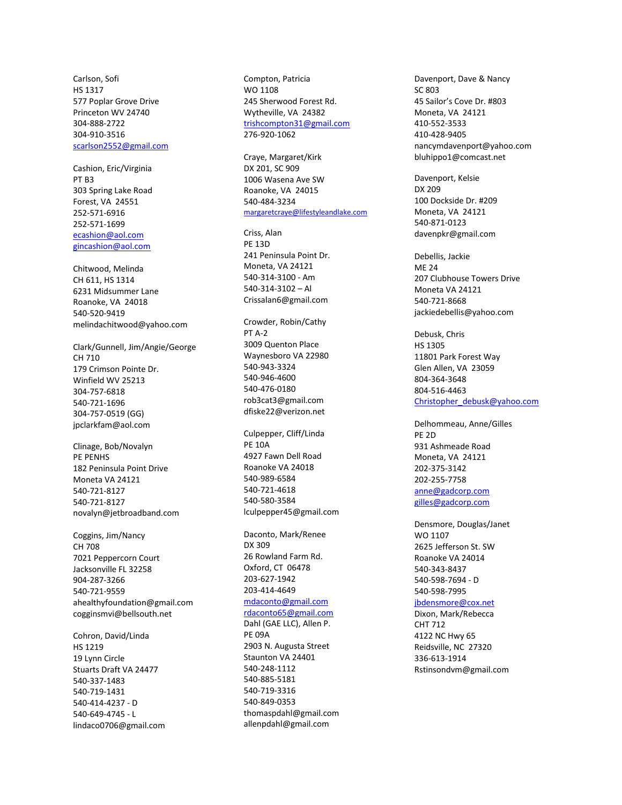Carlson, Sofi HS 1317 577 Poplar Grove Drive Princeton WV 24740 304-888-2722 304-910-3516 [scarlson2552@gmail.com](mailto:scarlson2552@gmail.com)

Cashion, Eric/Virginia PT B3 303 Spring Lake Road Forest, VA 24551 252-571-6916 252-571-1699 [ecashion@aol.com](mailto:ecashion@aol.com) [gincashion@aol.com](mailto:gincashion@aol.com)

Chitwood, Melinda CH 611, HS 1314 6231 Midsummer Lane Roanoke, VA 24018 540-520-9419 melindachitwood@yahoo.com

Clark/Gunnell, Jim/Angie/George CH 710 179 Crimson Pointe Dr. Winfield WV 25213 304-757-6818 540-721-1696 304-757-0519 (GG) jpclarkfam@aol.com

Clinage, Bob/Novalyn PE PENHS 182 Peninsula Point Drive Moneta VA 24121 540-721-8127 540-721-8127 novalyn@jetbroadband.com

Coggins, Jim/Nancy CH 708 7021 Peppercorn Court Jacksonville FL 32258 904-287-3266 540-721-9559 ahealthyfoundation@gmail.com cogginsmvi@bellsouth.net

Cohron, David/Linda HS 1219 19 Lynn Circle Stuarts Draft VA 24477 540-337-1483 540-719-1431 540-414-4237 - D 540-649-4745 - L lindaco0706@gmail.com Compton, Patricia WO 1108 245 Sherwood Forest Rd. Wytheville, VA 24382 [trishcompton31@gmail.com](mailto:trishcompton31@gmail.com) 276-920-1062

Craye, Margaret/Kirk DX 201, SC 909 1006 Wasena Ave SW Roanoke, VA 24015 540-484-3234 [margaretcraye@lifestyleandlake.com](mailto:margaretcraye@lifestyleandlake.com)

Criss, Alan PE 13D 241 Peninsula Point Dr. Moneta, VA 24121 540-314-3100 - Am 540-314-3102 – Al Crissalan6@gmail.com

Crowder, Robin/Cathy PT A-2 3009 Quenton Place Waynesboro VA 22980 540-943-3324 540-946-4600 540-476-0180 rob3cat3@gmail.com dfiske22@verizon.net

Culpepper, Cliff/Linda PE 10A 4927 Fawn Dell Road Roanoke VA 24018 540-989-6584 540-721-4618 540-580-3584 lculpepper45@gmail.com

Daconto, Mark/Renee DX 309 26 Rowland Farm Rd. Oxford, CT 06478 203-627-1942 203-414-4649 [mdaconto@gmail.com](mailto:mdaconto@gmail.com) [rdaconto65@gmail.com](mailto:rdaconto65@gmail.com) Dahl (GAE LLC), Allen P. PE 09A 2903 N. Augusta Street Staunton VA 24401 540-248-1112 540-885-5181 540-719-3316 540-849-0353 thomaspdahl@gmail.com allenpdahl@gmail.com

Davenport, Dave & Nancy SC 803 45 Sailor's Cove Dr. #803 Moneta, VA 24121 410-552-3533 410-428-9405 nancymdavenport@yahoo.com bluhippo1@comcast.net

Davenport, Kelsie DX 209 100 Dockside Dr. #209 Moneta, VA 24121 540-871-0123 davenpkr@gmail.com

Debellis, Jackie **MF 24** 207 Clubhouse Towers Drive Moneta VA 24121 540-721-8668 jackiedebellis@yahoo.com

Debusk, Chris HS 1305 11801 Park Forest Way Glen Allen, VA 23059 804-364-3648 804-516-4463 [Christopher\\_debusk@yahoo.com](mailto:Christopher_debusk@yahoo.com)

Delhommeau, Anne/Gilles PE 2D 931 Ashmeade Road Moneta, VA 24121 202-375-3142 202-255-7758 [anne@gadcorp.com](mailto:anne@gadcorp.com) [gilles@gadcorp.com](mailto:gilles@gadcorp.com)

Densmore, Douglas/Janet WO 1107 2625 Jefferson St. SW Roanoke VA 24014 540-343-8437 540-598-7694 - D 540-598-7995 [jbdensmore@cox.net](mailto:jbdensmore@cox.net) Dixon, Mark/Rebecca

CHT 712 4122 NC Hwy 65 Reidsville, NC 27320 336-613-1914 Rstinsondvm@gmail.com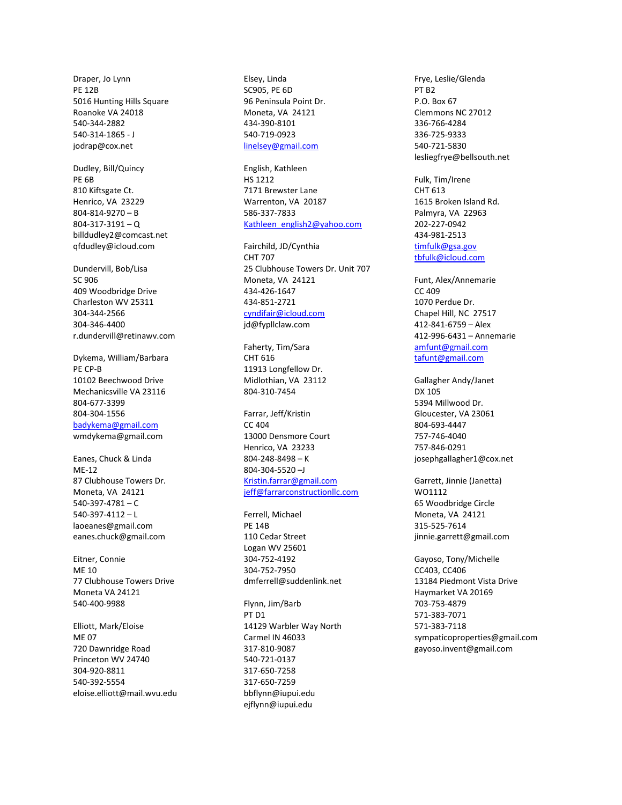Draper, Jo Lynn PE 12B 5016 Hunting Hills Square Roanoke VA 24018 540-344-2882 540-314-1865 - J jodrap@cox.net

Dudley, Bill/Quincy PE 6B 810 Kiftsgate Ct. Henrico, VA 23229 804-814-9270 – B  $804 - 317 - 3191 - Q$ billdudley2@comcast.net qfdudley@icloud.com

Dundervill, Bob/Lisa SC 906 409 Woodbridge Drive Charleston WV 25311 304-344-2566 304-346-4400 r.dundervill@retinawv.com

Dykema, William/Barbara PE CP-B 10102 Beechwood Drive Mechanicsville VA 23116 804-677-3399 804-304-1556 [badykema@gmail.com](mailto:badykema@gmail.com) wmdykema@gmail.com

Eanes, Chuck & Linda ME-12 87 Clubhouse Towers Dr. Moneta, VA 24121 540-397-4781 – C 540-397-4112 – L laoeanes@gmail.com eanes.chuck@gmail.com

Eitner, Connie MF 10 77 Clubhouse Towers Drive Moneta VA 24121 540-400-9988

Elliott, Mark/Eloise ME 07 720 Dawnridge Road Princeton WV 24740 304-920-8811 540-392-5554 eloise.elliott@mail.wvu.edu

Elsey, Linda SC905, PE 6D 96 Peninsula Point Dr. Moneta, VA 24121 434-390-8101 540-719-0923 [linelsey@gmail.com](mailto:linelsey@gmail.com)

English, Kathleen HS 1212 7171 Brewster Lane Warrenton, VA 20187 586-337-7833 [Kathleen\\_english2@yahoo.com](mailto:Kathleen_english2@yahoo.com)

Fairchild, JD/Cynthia CHT 707 25 Clubhouse Towers Dr. Unit 707 Moneta, VA 24121 434-426-1647 434-851-2721 [cyndifair@icloud.com](mailto:cyndifair@icloud.com) jd@fypllclaw.com

Faherty, Tim/Sara CHT 616 11913 Longfellow Dr. Midlothian, VA 23112 804-310-7454

Farrar, Jeff/Kristin CC 404 13000 Densmore Court Henrico, VA 23233 804-248-8498 – K 804-304-5520 –J [Kristin.farrar@gmail.com](mailto:Kristin.farrar@gmail.com) [jeff@farrarconstructionllc.com](mailto:jeff@farrarconstructionllc.com)

Ferrell, Michael PE 14B 110 Cedar Street Logan WV 25601 304-752-4192 304-752-7950 dmferrell@suddenlink.net

Flynn, Jim/Barb PT D1 14129 Warbler Way North Carmel IN 46033 317-810-9087 540-721-0137 317-650-7258 317-650-7259 bbflynn@iupui.edu ejflynn@iupui.edu

Frye, Leslie/Glenda PT<sub>R2</sub> P.O. Box 67 Clemmons NC 27012 336-766-4284 336-725-9333 540-721-5830 lesliegfrye@bellsouth.net

Fulk, Tim/Irene CHT 613 1615 Broken Island Rd. Palmyra, VA 22963 202-227-0942 434-981-2513 [timfulk@gsa.gov](mailto:timfulk@gsa.gov) [tbfulk@icloud.com](mailto:tbfulk@icloud.com)

Funt, Alex/Annemarie CC 409 1070 Perdue Dr. Chapel Hill, NC 27517 412-841-6759 – Alex 412-996-6431 – Annemarie [amfunt@gmail.com](mailto:amfunt@gmail.com) [tafunt@gmail.com](mailto:tafunt@gmail.com)

Gallagher Andy/Janet DX 105 5394 Millwood Dr. Gloucester, VA 23061 804-693-4447 757-746-4040 757-846-0291 josephgallagher1@cox.net

Garrett, Jinnie (Janetta) WO1112 65 Woodbridge Circle Moneta, VA 24121 315-525-7614 jinnie.garrett@gmail.com

Gayoso, Tony/Michelle CC403, CC406 13184 Piedmont Vista Drive Haymarket VA 20169 703-753-4879 571-383-7071 571-383-7118 sympaticoproperties@gmail.com gayoso.invent@gmail.com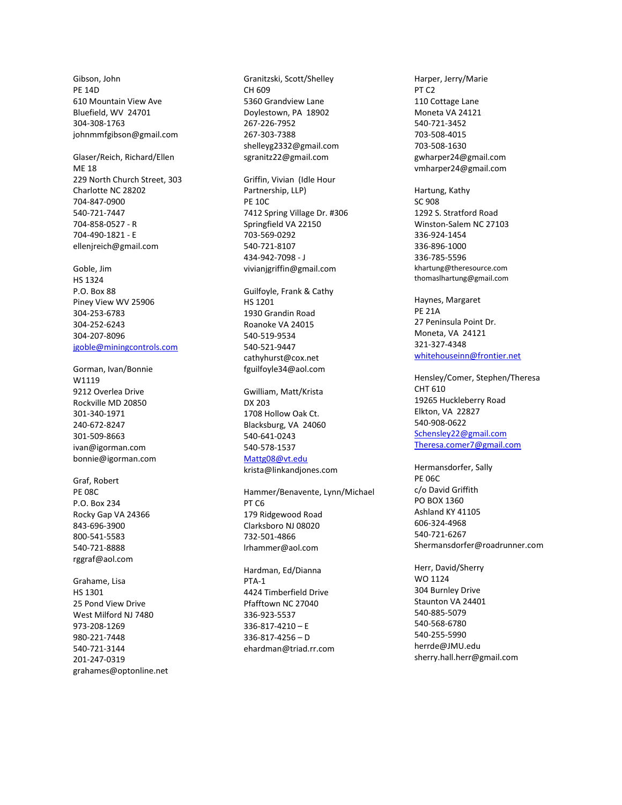Gibson, John PE 14D 610 Mountain View Ave Bluefield, WV 24701 304 -308 -1763 johnmmfgibson@gmail.com

Glaser/Reich, Richard/Ellen ME 18 229 North Church Street, 303 Charlotte NC 28202 704 -847 -0900 540 -721 -7447 704 -858 -0527 - R 704-490-1821 - E ellenjreich@gmail.com

Goble, Jim HS 1324 P.O. Box 88 Piney View WV 25906 304 -253 -6783 304 -252 -6243 304 -207 -8096 [jgoble@miningcontrols.com](mailto:jgoble@miningcontrols.com)

Gorman, Ivan/Bonnie W1119 9212 Overlea Drive Rockville MD 20850 301 -340 -1971 240 -672 -8247 301 -509 -8663 ivan@igorman.com bonnie@igorman.com

Graf, Robert PE 08C P.O. Box 234 Rocky Gap VA 24366 843 -696 -3900 800 -541 -5583 540 -721 -8888 rggraf@aol.com

Grahame, Lisa HS 1301 25 Pond View Drive West Milford NJ 7480 973 -208 -1269 980 -221 -7448 540 -721 -3144 201 -247 -0319 grahames@optonline.net Granitzski, Scott/Shelley CH 609 5360 Grandview Lane Doylestown, PA 18902 267 -226 -7952 267 -303 -7388 shelleyg2332@gmail.com sgranitz22@gmail.com

Griffin, Vivian (Idle Hour Partnership, LLP) PE 10C 7412 Spring Village Dr. #306 Springfield VA 22150 703 -569 -0292 540 -721 -8107 434 -942 -7098 - J vivianjgriffin@gmail.com

Guilfoyle, Frank & Cathy HS 1201 1930 Grandin Road Roanoke VA 24015 540 -519 -9534 540 -521 -9447 cathyhurst@cox.net fguilfoyle34@aol.com

Gwilliam, Matt/Krista DX 203 1708 Hollow Oak Ct. Blacksburg, VA 24060 540 -641 -0243 540 -578 -1537

### [Mattg08@vt.edu](mailto:Mattg08@vt.edu)

krista@linkandjones.com

Hammer/Benavente, Lynn/Michael PT C6 179 Ridgewood Road Clarksboro NJ 08020 732 -501 -4866 lrhammer@aol.com

Hardman, Ed/Dianna PTA-1 4424 Timberfield Drive Pfafftown NC 27040 336 -923 -5537 336 -817 -4210 – E 336 -817 -4256 – D ehardman@triad.rr.com Harper, Jerry/Marie PT C2 110 Cottage Lane Moneta VA 24121 540 -721 -3452 703 -508 -4015 703 -508 -1630 gwharper24@gmail.com vmharper24@gmail.com

Hartung, Kathy SC 908 1292 S. Stratford Road Winston -Salem NC 27103 336 -924 -1454 336 -896 -1000 336 -785 -5596 khartung@theresource.com thomaslhartung@gmail.com

Haynes, Margaret PE 21A 27 Peninsula Point Dr. Moneta, VA 24121 321 -327 -4348 [whitehouseinn@frontier.net](mailto:whitehouseinn@frontier.net)

Hensley/Comer, Stephen/Theresa CHT 610 19265 Huckleberry Road Elkton, VA 22827 540 -908 -0622 [Schensley22@gmail.com](mailto:Schensley22@gmail.com) [Theresa.comer7@gmail.com](mailto:Theresa.comer7@gmail.com)

Hermansdorfer, Sally PE 06C c/o David Griffith PO BOX 1360 Ashland KY 4110 5 606 -324 -4968 540 -721 -6267 Shermansdorfer@roadrunner.com

Herr, David/Sherry WO 1124 304 Burnley Drive Staunton VA 24401 540 -885 -5079 540 -568 -6780 540 -255 -5990 herrde@JMU.edu sherry.hall.herr@gmail.com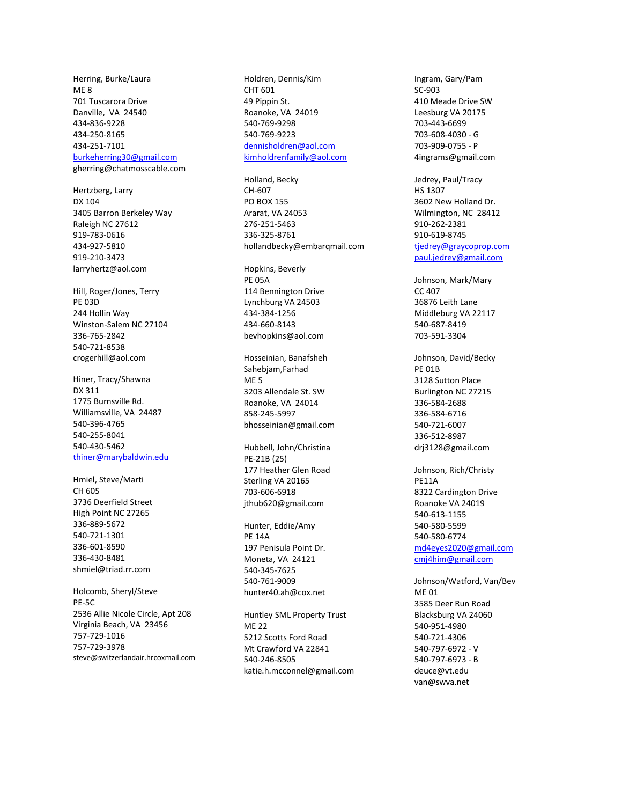Herring, Burke/Laura ME 8 701 Tuscarora Drive Danville, VA 24540 434-836-9228 434-250-8165 434-251-7101

#### [burkeherring30@gmail.com](mailto:burkeherring30@gmail.com)

gherring@chatmosscable.com

Hertzberg, Larry DX 104 3405 Barron Berkeley Way Raleigh NC 27612 919-783-0616 434-927-5810 919-210-3473 larryhertz@aol.com

Hill, Roger/Jones, Terry PE 03D 244 Hollin Way Winston-Salem NC 27104 336-765-2842 540-721-8538 crogerhill@aol.com

Hiner, Tracy/Shawna DX 311 1775 Burnsville Rd. Williamsville, VA 24487 540-396-4765 540-255-8041 540-430-5462 [thiner@marybaldwin.edu](mailto:thiner@marybaldwin.edu)

Hmiel, Steve/Marti CH 605 3736 Deerfield Street High Point NC 27265 336-889-5672 540-721-1301 336-601-8590 336-430-8481 shmiel@triad.rr.com

Holcomb, Sheryl/Steve PE-5C 2536 Allie Nicole Circle, Apt 208 Virginia Beach, VA 23456 757-729-1016 757-729-3978 steve@switzerlandair.hrcoxmail.com Holdren, Dennis/Kim CHT 601 49 Pippin St. Roanoke, VA 24019 540-769-9298 540-769-9223 [dennisholdren@aol.com](mailto:dennisholdren@aol.com) [kimholdrenfamily@aol.com](mailto:kimholdrenfamily@aol.com)

Holland, Becky CH-607 PO BOX 155 Ararat, VA 24053 276-251-5463 336-325-8761 hollandbecky@embarqmail.com

Hopkins, Beverly PE 05A 114 Bennington Drive Lynchburg VA 24503 434-384-1256 434-660-8143 bevhopkins@aol.com

Hosseinian, Banafsheh Sahebjam,Farhad ME 5 3203 Allendale St. SW Roanoke, VA 24014 858-245-5997 bhosseinian@gmail.com

Hubbell, John/Christina PE-21B (25) 177 Heather Glen Road Sterling VA 20165 703-606-6918 jthub620@gmail.com

Hunter, Eddie/Amy PE 14A 197 Penisula Point Dr. Moneta, VA 24121 540-345-7625 540-761-9009 hunter40.ah@cox.net

Huntley SML Property Trust ME 22 5212 Scotts Ford Road Mt Crawford VA 22841 540-246-8505 katie.h.mcconnel@gmail.com Ingram, Gary/Pam SC-903 410 Meade Drive SW Leesburg VA 20175 703-443-6699 703-608-4030 - G 703-909-0755 - P 4ingrams@gmail.com

Jedrey, Paul/Tracy HS 1307 3602 New Holland Dr. Wilmington, NC 28412 910-262-2381 910-619-8745 [tjedrey@graycoprop.com](mailto:tjedrey@graycoprop.com) [paul.jedrey@gmail.com](mailto:paul.jedrey@gmail.com)

Johnson, Mark/Mary CC 407 36876 Leith Lane Middleburg VA 22117 540-687-8419 703-591-3304

Johnson, David/Becky PE 01B 3128 Sutton Place Burlington NC 27215 336-584-2688 336-584-6716 540-721-6007 336-512-8987 drj3128@gmail.com

Johnson, Rich/Christy PE11A 8322 Cardington Drive Roanoke VA 24019 540-613-1155 540-580-5599 540-580-6774 [md4eyes2020@gmail.com](mailto:md4eyes2020@gmail.com) [cmj4him@gmail.com](mailto:cmj4him@gmail.com)

Johnson/Watford, Van/Bev ME 01 3585 Deer Run Road Blacksburg VA 24060 540-951-4980 540-721-4306 540-797-6972 - V 540-797-6973 - B deuce@vt.edu van@swva.net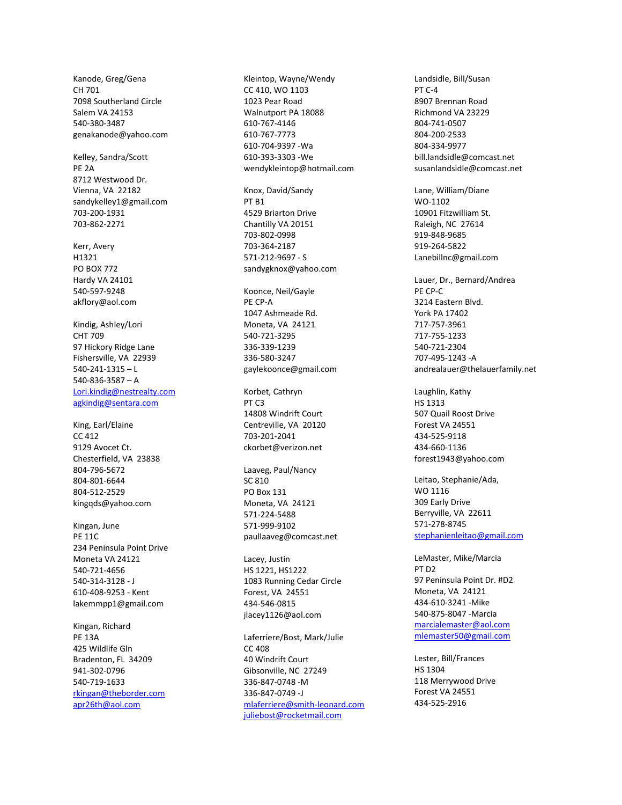Kanode, Greg/Gena CH 701 7098 Southerland Circle Salem VA 24153 540-380-3487 genakanode@yahoo.com

Kelley, Sandra/Scott PE 2A 8712 Westwood Dr. Vienna, VA 22182 sandykelley1@gmail.com 703-200-1931 703-862-2271

Kerr, Avery H1321 PO BOX 772 Hardy VA 24101 540-597-9248 akflory@aol.com

Kindig, Ashley/Lori CHT 709 97 Hickory Ridge Lane Fishersville, VA 22939 540-241-1315 – L 540-836-3587 – A [Lori.kindig@nestrealty.com](mailto:Lori.kindig@nestrealty.com) [agkindig@sentara.com](mailto:agkindig@sentara.com)

King, Earl/Elaine CC 412 9129 Avocet Ct. Chesterfield, VA 23838 804-796-5672 804-801-6644 804-512-2529 kingqds@yahoo.com

Kingan, June PE 11C 234 Peninsula Point Drive Moneta VA 24121 540-721-4656 540-314-3128 - J 610-408-9253 - Kent lakemmpp1@gmail.com

Kingan, Richard PE 13A 425 Wildlife Gln Bradenton, FL 34209 941-302-0796 540-719-1633 [rkingan@theborder.com](mailto:rkingan@theborder.com) apr26th@aol.com

Kleintop, Wayne/Wendy CC 410, WO 1103 1023 Pear Road Walnutport PA 18088 610-767-4146 610-767-7773 610-704-9397 -Wa 610-393-3303 -We wendykleintop@hotmail.com Knox, David/Sandy PT B1 4529 Briarton Drive Chantilly VA 20151 703-802-0998 703-364-2187 571-212-9697 - S sandygknox@yahoo.com Koonce, Neil/Gayle PE CP-A 1047 Ashmeade Rd. Moneta, VA 24121 540-721-3295 336-339-1239 336-580-3247 gaylekoonce@gmail.com Korbet, Cathryn PT C3 14808 Windrift Court Centreville, VA 20120 703-201-2041 ckorbet@verizon.net Laaveg, Paul/Nancy SC 810 PO Box 131 Moneta, VA 24121 571-224-5488 571-999-9102 paullaaveg@comcast.net Lacey, Justin HS 1221, HS1222 1083 Running Cedar Circle Forest, VA 24551 434-546-0815 jlacey1126@aol.com Laferriere/Bost, Mark/Julie  $CC$  408 40 Windrift Court Gibsonville, NC 27249

336-847-0748 -M 336-847-0749 -J [mlaferriere@smith-leonard.com](mailto:mlaferriere@smith-leonard.com) [juliebost@rocketmail.com](mailto:juliebost@rocketmail.com)

Landsidle, Bill/Susan  $PT C-A$ 8907 Brennan Road Richmond VA 23229 804-741-0507 804-200-2533 804-334-9977 bill.landsidle@comcast.net susanlandsidle@comcast.net

Lane, William/Diane WO-1102 10901 Fitzwilliam St. Raleigh, NC 27614 919-848-9685 919-264-5822 Lanebillnc@gmail.com

Lauer, Dr., Bernard/Andrea PE CP-C 3214 Eastern Blvd. York PA 17402 717-757-3961 717-755-1233 540-721-2304 707-495-1243 -A andrealauer@thelauerfamily.net

Laughlin, Kathy HS 1313 507 Quail Roost Drive Forest VA 24551 434-525-9118 434-660-1136 forest1943@yahoo.com

Leitao, Stephanie/Ada, WO 1116 309 Early Drive Berryville, VA 22611 571-278-8745 [stephanienleitao@gmail.com](mailto:stephanienleitao@gmail.com)

LeMaster, Mike/Marcia PT D2 97 Peninsula Point Dr. #D2 Moneta, VA 24121 434-610-3241 -Mike 540-875-8047 -Marcia [marcialemaster@aol.com](mailto:marcialemaster@aol.com) [mlemaster50@gmail.com](mailto:mlemaster50@gmail.com)

Lester, Bill/Frances HS 1304 118 Merrywood Drive Forest VA 24551 434-525-2916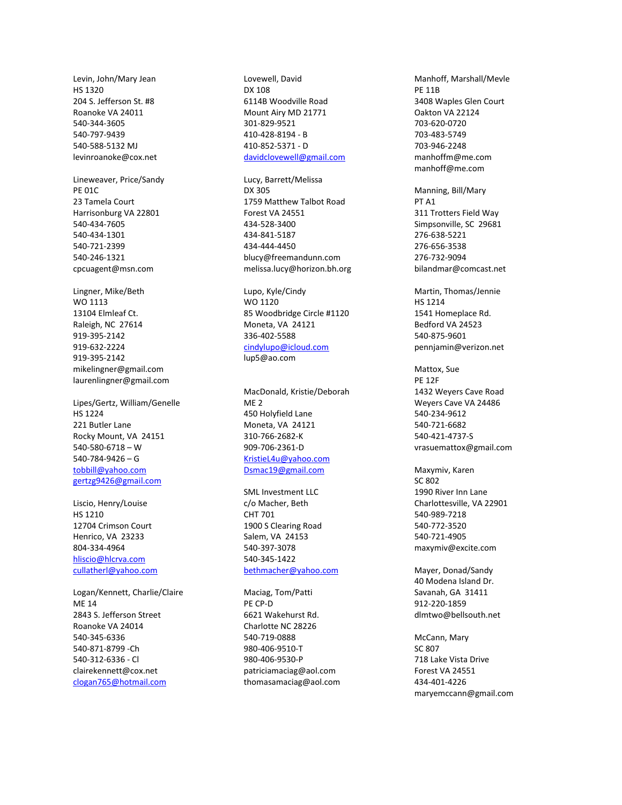Levin, John/Mary Jean HS 1320 204 S. Jefferson St. #8 Roanoke VA 24011 540-344-3605 540-797-9439 540-588-5132 MJ levinroanoke@cox.net

Lineweaver, Price/Sandy PE 01C 23 Tamela Court Harrisonburg VA 22801 540-434-7605 540-434-1301 540-721-2399 540-246-1321 cpcuagent@msn.com

Lingner, Mike/Beth WO 1113 13104 Elmleaf Ct. Raleigh, NC 27614 919-395-2142 919-632-2224 919-395-2142 mikelingner@gmail.com laurenlingner@gmail.com

Lipes/Gertz, William/Genelle HS 1224 221 Butler Lane Rocky Mount, VA 24151 540-580-6718 – W 540-784-9426 – G [tobbill@yahoo.com](mailto:tobbill@yahoo.com) [gertzg9426@gmail.com](mailto:gertzg9426@gmail.com)

Liscio, Henry/Louise HS 1210 12704 Crimson Court Henrico, VA 23233 804-334-4964 [hliscio@hlcrva.com](mailto:hliscio@hlcrva.com) [cullatherl@yahoo.com](mailto:cullatherl@yahoo.com)

Logan/Kennett, Charlie/Claire ME 14 2843 S. Jefferson Street Roanoke VA 24014 540-345-6336 540-871-8799 -Ch 540-312-6336 - Cl clairekennett@cox.net [clogan765@hotmail.com](mailto:clogan765@hotmail.com)

Lovewell, David DX 108 6114B Woodville Road Mount Airy MD 21771 301-829-9521 410-428-8194 - B 410-852-5371 - D [davidclovewell@gmail.com](mailto:davidclovewell@gmail.com)

Lucy, Barrett/Melissa DX 305 1759 Matthew Talbot Road Forest VA 24551 434-528-3400 434-841-5187 434-444-4450 blucy@freemandunn.com melissa.lucy@horizon.bh.org

Lupo, Kyle/Cindy WO 1120 85 Woodbridge Circle #1120 Moneta, VA 24121 336-402-5588 [cindylupo@icloud.com](mailto:cindylupo@icloud.com) lup5@ao.com

MacDonald, Kristie/Deborah ME 2 450 Holyfield Lane Moneta, VA 24121 310-766-2682-K 909-706-2361-D [KristieL4u@yahoo.com](mailto:KristieL4u@yahoo.com) [Dsmac19@gmail.com](mailto:Dsmac19@gmail.com)

SML Investment LLC c/o Macher, Beth CHT 701 1900 S Clearing Road Salem, VA 24153 540-397-3078 540-345-1422 [bethmacher@yahoo.com](mailto:bethmacher@yahoo.com)

Maciag, Tom/Patti PE CP-D 6621 Wakehurst Rd. Charlotte NC 28226 540-719-0888 980-406-9510-T 980-406-9530-P patriciamaciag@aol.com thomasamaciag@aol.com Manhoff, Marshall/Mevle PE 11B 3408 Waples Glen Court Oakton VA 22124 703-620-0720 703-483-5749 703-946-2248 manhoffm@me.com manhoff@me.com

Manning, Bill/Mary PT A1 311 Trotters Field Way Simpsonville, SC 29681 276-638-5221 276-656-3538 276-732-9094 bilandmar@comcast.net

Martin, Thomas/Jennie HS 1214 1541 Homeplace Rd. Bedford VA 24523 540-875-9601 pennjamin@verizon.net

Mattox, Sue PE 12F 1432 Weyers Cave Road Weyers Cave VA 24486 540-234-9612 540-721-6682 540-421-4737-S vrasuemattox@gmail.com

Maxymiv, Karen SC 802 1990 River Inn Lane Charlottesville, VA 22901 540-989-7218 540-772-3520 540-721-4905 maxymiv@excite.com

Mayer, Donad/Sandy 40 Modena Island Dr. Savanah, GA 31411 912-220-1859 dlmtwo@bellsouth.net

McCann, Mary SC 807 718 Lake Vista Drive Forest VA 24551 434-401-4226 maryemccann@gmail.com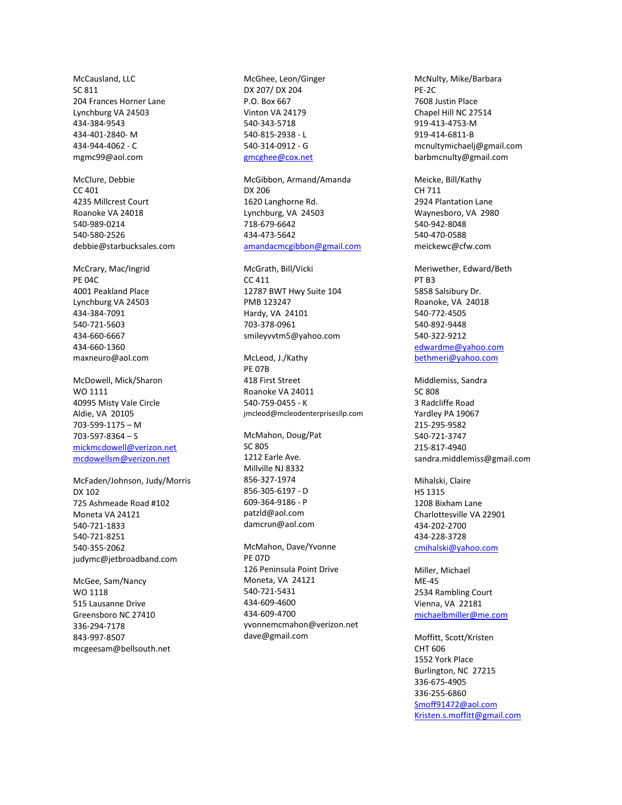McCausland, LLC SC 811 204 Frances Horner Lane Lynchburg VA 24503 434-384-9543 434-401-2840- M 434-944-4062 - C mgmc99@aol.com

McClure, Debbie CC 401 4235 Millcrest Court Roanoke VA 24018 540-989-0214 540-580-2526 debbie@starbucksales.com

McCrary, Mac/Ingrid PE 04C 4001 Peakland Place Lynchburg VA 24503 434-384-7091 540-721-5603 434-660-6667 434-660-1360 maxneuro@aol.com

McDowell, Mick/Sharon WO 1111 40995 Misty Vale Circle Aldie, VA 20105 703-599-1175 – M 703-597-8364 – S [mickmcdowell@verizon.net](mailto:mickmcdowell@verizon.net) [mcdowellsm@verizon.net](mailto:mcdowellsm@verizon.net)

McFaden/Johnson, Judy/Morris DX 102 725 Ashmeade Road #102 Moneta VA 24121 540-721-1833 540-721-8251 540-355-2062 judymc@jetbroadband.com

McGee, Sam/Nancy WO 1118 515 Lausanne Drive Greensboro NC 27410 336-294-7178 843-997-8507 mcgeesam@bellsouth.net

McGhee, Leon/Ginger DX 207/ DX 204 P.O. Box 667 Vinton VA 24179 540-343-5718 540-815-2938 - L 540-314-0912 - G [gmcghee@cox.net](mailto:gmcghee@cox.net)

McGibbon, Armand/Amanda DX 206 1620 Langhorne Rd. Lynchburg, VA 24503 718-679-6642 434-473-5642 [amandacmcgibbon@gmail.com](mailto:amandacmcgibbon@gmail.com)

McGrath, Bill/Vicki CC 411 12787 BWT Hwy Suite 104 PMB 123247 Hardy, VA 24101 703-378-0961 smileyvvtm5@yahoo.com

McLeod, J./Kathy PE 07B 418 First Street Roanoke VA 24011 540-759-0455 - K jmcleod@mcleodenterprisesllp.com

McMahon, Doug/Pat SC 805 1212 Earle Ave. Millville NJ 8332 856-327-1974 856-305-6197 - D 609-364-9186 - P patzld@aol.com damcrun@aol.com

McMahon, Dave/Yvonne PE 07D 126 Peninsula Point Drive Moneta, VA 24121 540-721-5431 434-609-4600 434-609-4700 yvonnemcmahon@verizon.net dave@gmail.com

McNulty, Mike/Barbara PE-2C 7608 Justin Place Chapel Hill NC 27514 919-413-4753-M 919-414-6811-B mcnultymichaelj@gmail.com barbmcnulty@gmail.com

Meicke, Bill/Kathy CH 711 2924 Plantation Lane Waynesboro, VA 2980 540-942-8048 540-470-0588 meickewc@cfw.com

Meriwether, Edward/Beth PT B3 5858 Salsibury Dr. Roanoke, VA 24018 540-772-4505 540-892-9448 540-322-9212 [edwardme@yahoo.com](mailto:edwardme@yahoo.com) [bethmeri@yahoo.com](mailto:bethmeri@yahoo.com)

Middlemiss, Sandra SC 808 3 Radcliffe Road Yardley PA 19067 215-295-9582 540-721-3747 215-817-4940 sandra.middlemiss@gmail.com

Mihalski, Claire HS 1315 1208 Bixham Lane Charlottesville VA 22901 434-202-2700 434-228-3728 [cmihalski@yahoo.com](mailto:cmihalski@yahoo.com)

Miller, Michael ME-45 2534 Rambling Court Vienna, VA 22181 [michaelbmiller@me.com](mailto:michaelbmiller@me.com)

Moffitt, Scott/Kristen CHT 606 1552 York Place Burlington, NC 27215 336-675-4905 336-255-6860 [Smoff91472@aol.com](mailto:Smoff91472@aol.com) [Kristen.s.moffitt@gmail.com](mailto:Kristen.s.moffitt@gmail.com)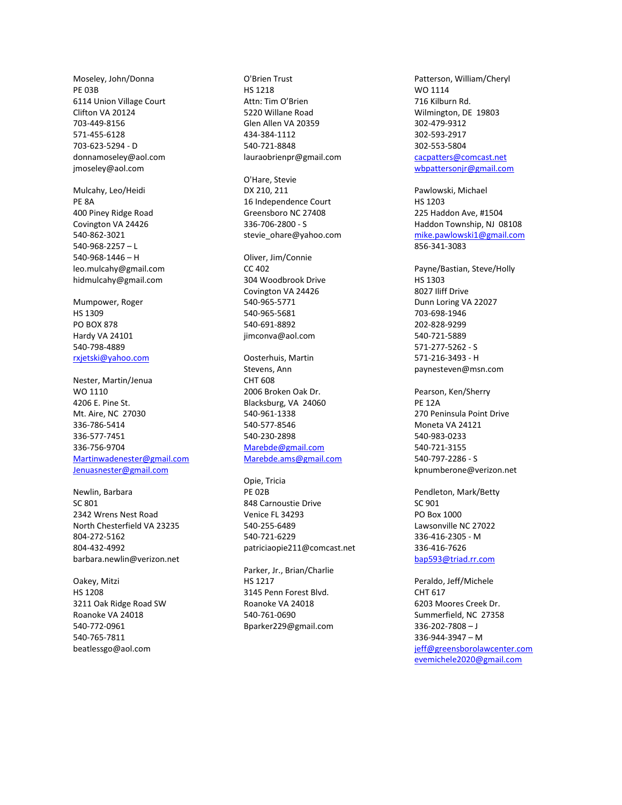Moseley, John/Donna PE 03B 6114 Union Village Court Clifton VA 20124 703-449-8156 571-455-6128 703-623-5294 - D donnamoseley@aol.com jmoseley@aol.com

Mulcahy, Leo/Heidi PE 8A 400 Piney Ridge Road Covington VA 24426 540-862-3021 540-968-2257 – L 540-968-1446 – H leo.mulcahy@gmail.com hidmulcahy@gmail.com

Mumpower, Roger HS 1309 PO BOX 878 Hardy VA 24101 540-798-4889 [rxjetski@yahoo.com](mailto:rxjetski@yahoo.com)

Nester, Martin/Jenua WO 1110 4206 E. Pine St. Mt. Aire, NC 27030 336-786-5414 336-577-7451 336-756-9704 [Martinwadenester@gmail.com](mailto:Martinwadenester@gmail.com) [Jenuasnester@gmail.com](mailto:Jenuasnester@gmail.com)

Newlin, Barbara  $SC$  801 2342 Wrens Nest Road North Chesterfield VA 23235 804-272-5162 804-432-4992 barbara.newlin@verizon.net

Oakey, Mitzi HS 1208 3211 Oak Ridge Road SW Roanoke VA 24018 540-772-0961 540-765-7811 beatlessgo@aol.com

O'Brien Trust HS 1218 Attn: Tim O'Brien 5220 Willane Road Glen Allen VA 20359 434-384-1112 540-721-8848 lauraobrienpr@gmail.com

O'Hare, Stevie DX 210, 211 16 Independence Court Greensboro NC 27408 336-706-2800 - S stevie\_ohare@yahoo.com

Oliver, Jim/Connie CC 402 304 Woodbrook Drive Covington VA 24426 540-965-5771 540-965-5681 540-691-8892 jimconva@aol.com

Oosterhuis, Martin Stevens, Ann CHT 608 2006 Broken Oak Dr. Blacksburg, VA 24060 540-961-1338 540-577-8546 540-230-2898 [Marebde@gmail.com](mailto:Marebde@gmail.com) [Marebde.ams@gmail.com](mailto:Marebde.ams@gmail.com)

Opie, Tricia PE 02B 848 Carnoustie Drive Venice FL 34293 540-255-6489 540-721-6229 patriciaopie211@comcast.net

Parker, Jr., Brian/Charlie HS 1217 3145 Penn Forest Blvd. Roanoke VA 24018 540-761-0690 Bparker229@gmail.com

Patterson, William/Cheryl WO 1114 716 Kilburn Rd. Wilmington, DE 19803 302-479-9312 302-593-2917 302-553-5804 [cacpatters@comcast.net](mailto:cacpatters@comcast.net) [wbpattersonjr@gmail.com](mailto:wbpattersonjr@gmail.com)

Pawlowski, Michael HS 1203 225 Haddon Ave, #1504 Haddon Township, NJ 08108 [mike.pawlowski1@gmail.com](mailto:mike.pawlowski1@gmail.com) 856-341-3083

Payne/Bastian, Steve/Holly HS 1303 8027 Iliff Drive Dunn Loring VA 22027 703-698-1946 202-828-9299 540-721-5889 571-277-5262 - S 571-216-3493 - H paynesteven@msn.com

Pearson, Ken/Sherry PE 12A 270 Peninsula Point Drive Moneta VA 24121 540-983-0233 540-721-3155 540-797-2286 - S kpnumberone@verizon.net

Pendleton, Mark/Betty SC 901 PO Box 1000 Lawsonville NC 27022 336-416-2305 - M 336-416-7626 [bap593@triad.rr.com](mailto:bap593@triad.rr.com)

Peraldo, Jeff/Michele CHT 617 6203 Moores Creek Dr. Summerfield, NC 27358 336-202-7808 – J 336-944-3947 – M [jeff@greensborolawcenter.com](mailto:jeff@greensborolawcenter.com) [evemichele2020@gmail.com](mailto:evemichele2020@gmail.com)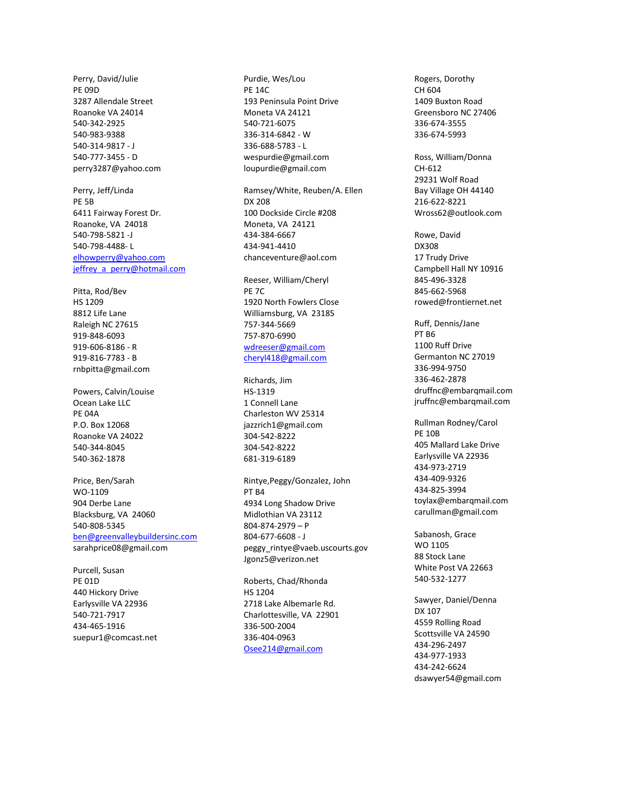Perry, David/Julie PE 09D 3287 Allendale Street Roanoke VA 24014 540-342-2925 540-983-9388 540-314-9817 - J 540-777-3455 - D perry3287@yahoo.com

Perry, Jeff/Linda PE 5B 6411 Fairway Forest Dr. Roanoke, VA 24018 540-798-5821 -J 540-798-4488- L [elhowperry@yahoo.com](mailto:elhowperry@yahoo.com) [jeffrey\\_a\\_perry@hotmail.com](mailto:jeffrey_a_perry@hotmail.com)

Pitta, Rod/Bev HS 1209 8812 Life Lane Raleigh NC 27615 919-848-6093 919-606-8186 - R 919-816-7783 - B rnbpitta@gmail.com

Powers, Calvin/Louise Ocean Lake LLC PE 04A P.O. Box 12068 Roanoke VA 24022 540-344-8045 540-362-1878

Price, Ben/Sarah WO-1109 904 Derbe Lane Blacksburg, VA 24060 540-808-5345 [ben@greenvalleybuildersinc.com](mailto:ben@greenvalleybuildersinc.com) sarahprice08@gmail.com

Purcell, Susan PE 01D 440 Hickory Drive Earlysville VA 22936 540-721-7917 434-465-1916 suepur1@comcast.net Purdie, Wes/Lou PE 14C 193 Peninsula Point Drive Moneta VA 24121 540-721-6075 336-314-6842 - W 336-688-5783 - L wespurdie@gmail.com loupurdie@gmail.com

Ramsey/White, Reuben/A. Ellen DX 208 100 Dockside Circle #208 Moneta, VA 24121 434-384-6667 434-941-4410 chanceventure@aol.com

Reeser, William/Cheryl PE 7C 1920 North Fowlers Close Williamsburg, VA 23185 757-344-5669 757-870-6990 [wdreeser@gmail.com](mailto:wdreeser@gmail.com) [cheryl418@gmail.com](mailto:cheryl418@gmail.com)

Richards, Jim HS-1319 1 Connell Lane Charleston WV 25314 jazzrich1@gmail.com 304-542-8222 304-542-8222 681-319-6189

Rintye,Peggy/Gonzalez, John PT B4 4934 Long Shadow Drive Midlothian VA 23112 804-874-2979 – P 804-677-6608 - J peggy\_rintye@vaeb.uscourts.gov Jgonz5@verizon.net

Roberts, Chad/Rhonda HS 1204 2718 Lake Albemarle Rd. Charlottesville, VA 22901 336-500-2004 336-404-0963 [Osee214@gmail.com](mailto:Osee214@gmail.com)

Rogers, Dorothy CH 604 1409 Buxton Road Greensboro NC 27406 336-674-3555 336-674-5993

Ross, William/Donna CH-612 29231 Wolf Road Bay Village OH 44140 216-622-8221 Wross62@outlook.com

Rowe, David DX308 17 Trudy Drive Campbell Hall NY 10916 845-496-3328 845-662-5968 rowed@frontiernet.net

Ruff, Dennis/Jane PT B6 1100 Ruff Drive Germanton NC 27019 336-994-9750 336-462-2878 druffnc@embarqmail.com jruffnc@embarqmail.com

Rullman Rodney/Carol PE 10B 405 Mallard Lake Drive Earlysville VA 22936 434-973-2719 434-409-9326 434-825-3994 toylax@embarqmail.com carullman@gmail.com

Sabanosh, Grace WO 1105 88 Stock Lane White Post VA 22663 540-532-1277

Sawyer, Daniel/Denna DX 107 4559 Rolling Road Scottsville VA 24590 434-296-2497 434-977-1933 434-242-6624 dsawyer54@gmail.com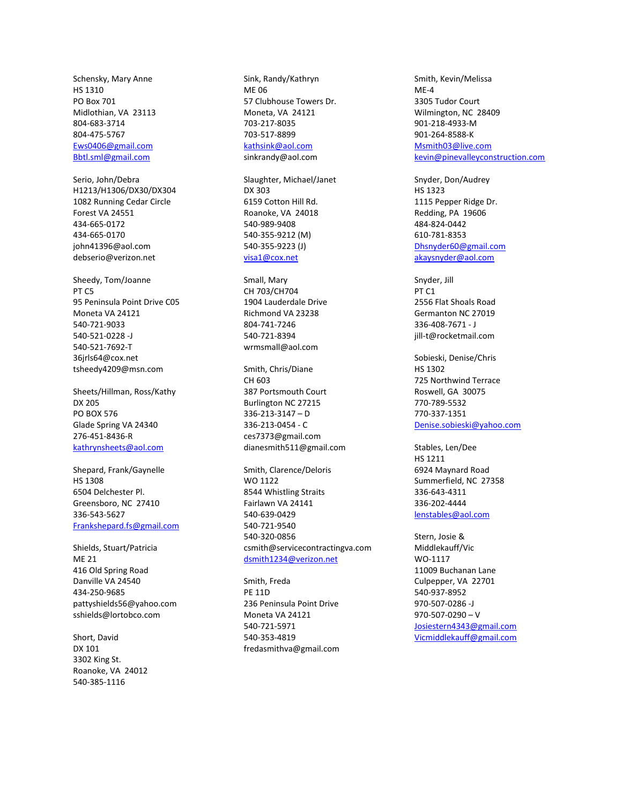Schensky, Mary Anne HS 1310 PO Box 701 Midlothian, VA 23113 804-683-3714 804-475-5767 [Ews0406@gmail.com](mailto:Ews0406@gmail.com) [Bbtl.sml@gmail.com](mailto:Bbtl.sml@gmail.com)

Serio, John/Debra H1213/H1306/DX30/DX304 1082 Running Cedar Circle Forest VA 24551 434-665-0172 434-665-0170 john41396@aol.com debserio@verizon.net

Sheedy, Tom/Joanne PT C5 95 Peninsula Point Drive C05 Moneta VA 24121 540-721-9033 540-521-0228 -J 540-521-7692-T 36jrls64@cox.net tsheedy4209@msn.com

Sheets/Hillman, Ross/Kathy DX 205 PO BOX 576 Glade Spring VA 24340 276-451-8436-R [kathrynsheets@aol.com](mailto:kathrynsheets@aol.com)

Shepard, Frank/Gaynelle HS 1308 6504 Delchester Pl. Greensboro, NC 27410 336-543-5627 [Frankshepard.fs@gmail.com](mailto:Frankshepard.fs@gmail.com)

Shields, Stuart/Patricia ME 21 416 Old Spring Road Danville VA 24540 434-250-9685 pattyshields56@yahoo.com sshields@lortobco.com

Short, David DX 101 3302 King St. Roanoke, VA 24012 540-385-1116

Sink, Randy/Kathryn ME 06 57 Clubhouse Towers Dr. Moneta, VA 24121 703-217-8035 703-517-8899 [kathsink@aol.com](mailto:kathsink@aol.com) sinkrandy@aol.com

Slaughter, Michael/Janet DX 303 6159 Cotton Hill Rd. Roanoke, VA 24018 540-989-9408 540-355-9212 (M) 540-355-9223 (J) [visa1@cox.net](mailto:visa1@cox.net)

Small, Mary CH 703/CH704 1904 Lauderdale Drive Richmond VA 23238 804-741-7246 540-721-8394 wrmsmall@aol.com

Smith, Chris/Diane CH 603 387 Portsmouth Court Burlington NC 27215 336-213-3147 – D 336-213-0454 - C ces7373@gmail.com dianesmith511@gmail.com

Smith, Clarence/Deloris WO 1122 8544 Whistling Straits Fairlawn VA 24141 540-639-0429 540-721-9540 540-320-0856 csmith@servicecontractingva.com [dsmith1234@verizon.net](mailto:dsmith1234@verizon.net)

Smith, Freda PE 11D 236 Peninsula Point Drive Moneta VA 24121 540-721-5971 540-353-4819 fredasmithva@gmail.com Smith, Kevin/Melissa ME-4 3305 Tudor Court Wilmington, NC 28409 901-218-4933-M 901-264-8588-K [Msmith03@live.com](mailto:Msmith03@live.com) kevin@pinevalleyconstruction.com

Snyder, Don/Audrey HS 1323 1115 Pepper Ridge Dr. Redding, PA 19606 484-824-0442 610-781-8353 [Dhsnyder60@gmail.com](mailto:Dhsnyder60@gmail.com) [akaysnyder@aol.com](mailto:akaysnyder@aol.com)

Snyder, Jill PT C1 2556 Flat Shoals Road Germanton NC 27019 336-408-7671 - J jill-t@rocketmail.com

Sobieski, Denise/Chris HS 1302 725 Northwind Terrace Roswell, GA 30075 770-789-5532 770-337-1351 [Denise.sobieski@yahoo.com](mailto:Denise.sobieski@yahoo.com)

Stables, Len/Dee HS 1211 6924 Maynard Road Summerfield, NC 27358 336-643-4311 336-202-4444 [lenstables@aol.com](mailto:lenstables@aol.com)

Stern, Josie & Middlekauff/Vic WO-1117 11009 Buchanan Lane Culpepper, VA 22701 540-937-8952 970-507-0286 -J 970-507-0290 – V [Josiestern4343@gmail.com](mailto:Josiestern4343@gmail.com) [Vicmiddlekauff@gmail.com](mailto:Vicmiddlekauff@gmail.com)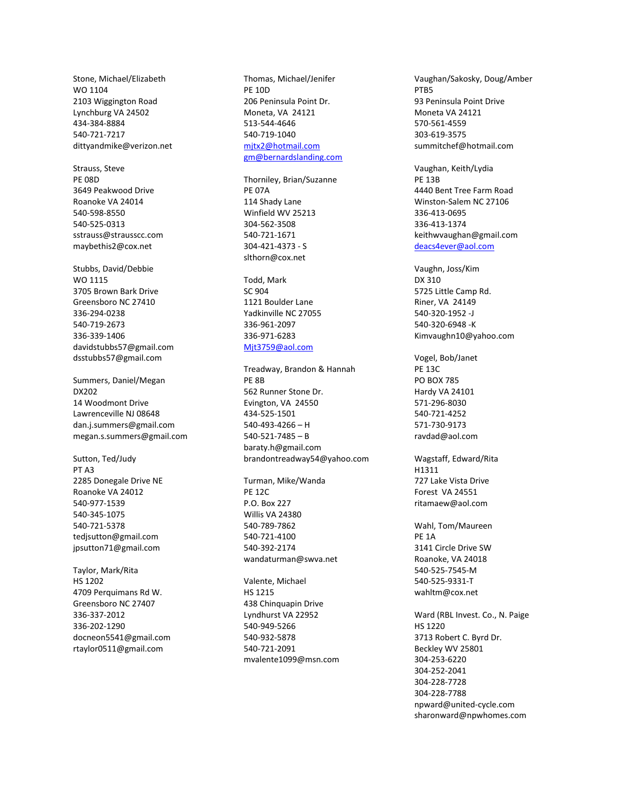Stone, Michael/Elizabeth WO 1104 2103 Wiggington Road Lynchburg VA 24502 434-384-8884 540-721-7217 dittyandmike@verizon.net

Strauss, Steve PE 08D 3649 Peakwood Drive Roanoke VA 24014 540-598-8550 540-525-0313 sstrauss@strausscc.com maybethis2@cox.net

Stubbs, David/Debbie WO 1115 3705 Brown Bark Drive Greensboro NC 27410 336-294-0238 540-719-2673 336-339-1406 davidstubbs57@gmail.com dsstubbs57@gmail.com

Summers, Daniel/Megan DX202 14 Woodmont Drive Lawrenceville NJ 08648 dan.j.summers@gmail.com megan.s.summers@gmail.com

Sutton, Ted/Judy PT A3 2285 Donegale Drive NE Roanoke VA 24012 540-977-1539 540-345-1075 540-721-5378 tedjsutton@gmail.com jpsutton71@gmail.com

Taylor, Mark/Rita HS 1202 4709 Perquimans Rd W. Greensboro NC 27407 336-337-2012 336-202-1290 docneon5541@gmail.com rtaylor0511@gmail.com

Thomas, Michael/Jenifer PE 10D 206 Peninsula Point Dr. Moneta, VA 24121 513-544-4646 540-719-1040 [mjtx2@hotmail.com](mailto:mjtx2@hotmail.com) [gm@bernardslanding.com](mailto:gm@bernardslanding.com)

Thorniley, Brian/Suzanne PE 07A 114 Shady Lane Winfield WV 25213 304-562-3508 540-721-1671 304-421-4373 - S slthorn@cox.net

Todd, Mark SC 904 1121 Boulder Lane Yadkinville NC 27055 336-961-2097 336-971-6283 [Mjt3759@aol.com](mailto:Mjt3759@aol.com)

Treadway, Brandon & Hannah PE 8B 562 Runner Stone Dr. Evington, VA 24550 434-525-1501 540-493-4266 – H 540-521-7485 – B baraty.h@gmail.com brandontreadway54@yahoo.com

Turman, Mike/Wanda PE 12C P.O. Box 227 Willis VA 24380 540-789-7862 540-721-4100 540-392-2174 wandaturman@swva.net

Valente, Michael HS 1215 438 Chinquapin Drive Lyndhurst VA 22952 540-949-5266 540-932-5878 540-721-2091 mvalente1099@msn.com Vaughan/Sakosky, Doug/Amber PTB5 93 Peninsula Point Drive Moneta VA 24121 570-561-4559 303-619-3575 summitchef@hotmail.com

Vaughan, Keith/Lydia PE 13B 4440 Bent Tree Farm Road Winston-Salem NC 27106 336-413-0695 336-413-1374 keithwvaughan@gmail.com [deacs4ever@aol.com](mailto:deacs4ever@aol.com)

Vaughn, Joss/Kim DX 310 5725 Little Camp Rd. Riner, VA 24149 540-320-1952 -J 540-320-6948 -K Kimvaughn10@yahoo.com

Vogel, Bob/Janet PE 13C PO BOX 785 Hardy VA 24101 571-296-8030 540-721-4252 571-730-9173 ravdad@aol.com

Wagstaff, Edward/Rita H1311 727 Lake Vista Drive Forest VA 24551 ritamaew@aol.com

Wahl, Tom/Maureen PE 1A 3141 Circle Drive SW Roanoke, VA 24018 540-525-7545-M 540-525-9331-T wahltm@cox.net

Ward (RBL Invest. Co., N. Paige HS 1220 3713 Robert C. Byrd Dr. Beckley WV 25801 304-253-6220 304-252-2041 304-228-7728 304-228-7788 npward@united-cycle.com sharonward@npwhomes.com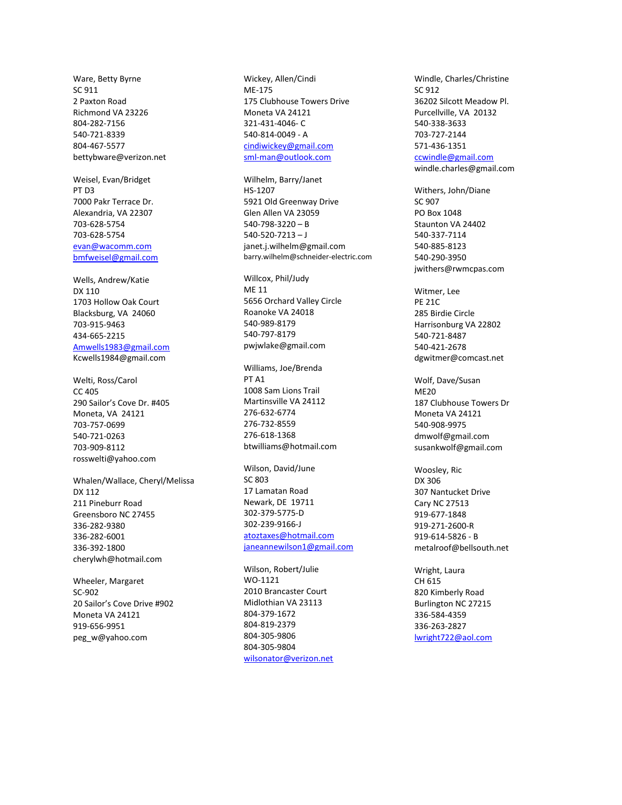Ware, Betty Byrne SC 911 2 Paxton Road Richmond VA 23226 804-282-7156 540-721-8339 804-467-5577 bettybware@verizon.net

Weisel, Evan/Bridget PT D3 7000 Pakr Terrace Dr. Alexandria, VA 22307 703-628-5754 703-628-5754 [evan@wacomm.com](mailto:evan@wacomm.com) [bmfweisel@gmail.com](mailto:bmfweisel@gmail.com)

Wells, Andrew/Katie DX 110 1703 Hollow Oak Court Blacksburg, VA 24060 703-915-9463 434-665-2215 [Amwells1983@gmail.com](mailto:Amwells1983@gmail.com) Kcwells1984@gmail.com

Welti, Ross/Carol CC 405 290 Sailor's Cove Dr. #405 Moneta, VA 24121 703-757-0699 540-721-0263 703-909-8112 rosswelti@yahoo.com

Whalen/Wallace, Cheryl/Melissa DX 112 211 Pineburr Road Greensboro NC 27455 336-282-9380 336-282-6001 336-392-1800 cherylwh@hotmail.com

Wheeler, Margaret SC-902 20 Sailor's Cove Drive #902 Moneta VA 24121 919-656-9951 peg\_w@yahoo.com

Wickey, Allen/Cindi ME-175 175 Clubhouse Towers Drive Moneta VA 24121 321-431-4046- C 540-814-0049 - A [cindiwickey@gmail.com](mailto:cindiwickey@gmail.com) [sml-man@outlook.com](mailto:sml-man@outlook.com)

Wilhelm, Barry/Janet HS-1207 5921 Old Greenway Drive Glen Allen VA 23059 540-798-3220 – B 540-520-7213 – J janet.j.wilhelm@gmail.com barry.wilhelm@schneider-electric.com

Willcox, Phil/Judy ME 11 5656 Orchard Valley Circle Roanoke VA 24018 540-989-8179 540-797-8179 pwjwlake@gmail.com

Williams, Joe/Brenda PT A1 1008 Sam Lions Trail Martinsville VA 24112 276-632-6774 276-732-8559 276-618-1368 btwilliams@hotmail.com

Wilson, David/June SC 803 17 Lamatan Road Newark, DE 19711 302-379-5775-D 302-239-9166-J [atoztaxes@hotmail.com](mailto:atoztaxes@hotmail.com) [janeannewilson1@gmail.com](mailto:janeannewilson1@gmail.com)

Wilson, Robert/Julie WO-1121 2010 Brancaster Court Midlothian VA 23113 804-379-1672 804-819-2379 804-305-9806 804-305-9804 [wilsonator@verizon.net](mailto:wilsonator@verizon.net) Windle, Charles/Christine SC 912 36202 Silcott Meadow Pl. Purcellville, VA 20132 540-338-3633 703-727-2144 571-436-1351 [ccwindle@gmail.com](mailto:ccwindle@gmail.com)

windle.charles@gmail.com

Withers, John/Diane SC 907 PO Box 1048 Staunton VA 24402 540-337-7114 540-885-8123 540-290-3950 jwithers@rwmcpas.com

Witmer, Lee PE 21C 285 Birdie Circle Harrisonburg VA 22802 540-721-8487 540-421-2678 dgwitmer@comcast.net

Wolf, Dave/Susan ME20 187 Clubhouse Towers Dr Moneta VA 24121 540-908-9975 dmwolf@gmail.com susankwolf@gmail.com

Woosley, Ric DX 306 307 Nantucket Drive Cary NC 27513 919-677-1848 919-271-2600-R 919-614-5826 - B metalroof@bellsouth.net

Wright, Laura CH 615 820 Kimberly Road Burlington NC 27215 336-584-4359 336-263-2827 [lwright722@aol.com](mailto:lwright722@aol.com)